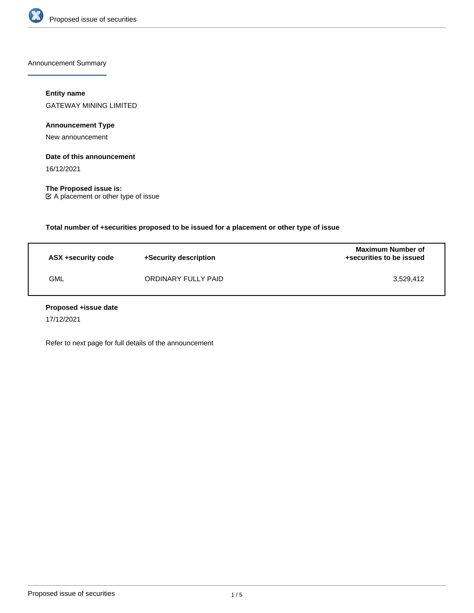

Announcement Summary

# **Entity name**

GATEWAY MINING LIMITED

**Announcement Type**

New announcement

## **Date of this announcement**

16/12/2021

**The Proposed issue is:** A placement or other type of issue

**Total number of +securities proposed to be issued for a placement or other type of issue**

| ASX +security code | +Security description | <b>Maximum Number of</b><br>+securities to be issued |
|--------------------|-----------------------|------------------------------------------------------|
| GML                | ORDINARY FULLY PAID   | 3.529.412                                            |

#### **Proposed +issue date**

17/12/2021

Refer to next page for full details of the announcement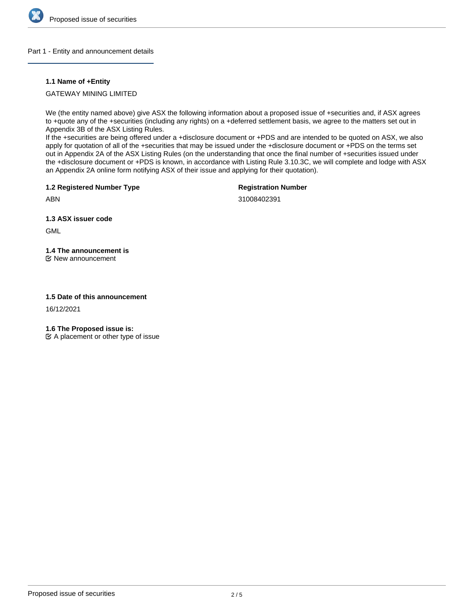

#### Part 1 - Entity and announcement details

## **1.1 Name of +Entity**

GATEWAY MINING LIMITED

We (the entity named above) give ASX the following information about a proposed issue of +securities and, if ASX agrees to +quote any of the +securities (including any rights) on a +deferred settlement basis, we agree to the matters set out in Appendix 3B of the ASX Listing Rules.

If the +securities are being offered under a +disclosure document or +PDS and are intended to be quoted on ASX, we also apply for quotation of all of the +securities that may be issued under the +disclosure document or +PDS on the terms set out in Appendix 2A of the ASX Listing Rules (on the understanding that once the final number of +securities issued under the +disclosure document or +PDS is known, in accordance with Listing Rule 3.10.3C, we will complete and lodge with ASX an Appendix 2A online form notifying ASX of their issue and applying for their quotation).

**1.2 Registered Number Type**

**Registration Number**

ABN

31008402391

**1.3 ASX issuer code**

**GML** 

# **1.4 The announcement is**

New announcement

# **1.5 Date of this announcement**

16/12/2021

**1.6 The Proposed issue is:**

 $\mathfrak{C}$  A placement or other type of issue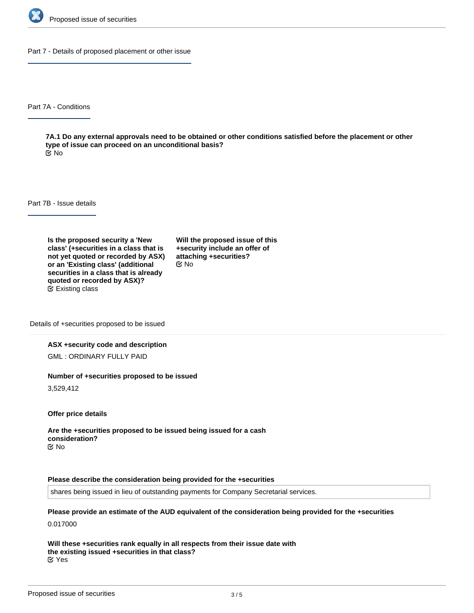

Part 7 - Details of proposed placement or other issue

Part 7A - Conditions

**7A.1 Do any external approvals need to be obtained or other conditions satisfied before the placement or other type of issue can proceed on an unconditional basis?** No

Part 7B - Issue details

**Is the proposed security a 'New class' (+securities in a class that is not yet quoted or recorded by ASX) or an 'Existing class' (additional securities in a class that is already quoted or recorded by ASX)?** Existing class

**Will the proposed issue of this +security include an offer of attaching +securities?** No

Details of +securities proposed to be issued

#### **ASX +security code and description**

GML : ORDINARY FULLY PAID

#### **Number of +securities proposed to be issued**

3,529,412

**Offer price details**

**Are the +securities proposed to be issued being issued for a cash consideration?** No

#### **Please describe the consideration being provided for the +securities**

shares being issued in lieu of outstanding payments for Company Secretarial services.

**Please provide an estimate of the AUD equivalent of the consideration being provided for the +securities** 0.017000

**Will these +securities rank equally in all respects from their issue date with the existing issued +securities in that class?** Yes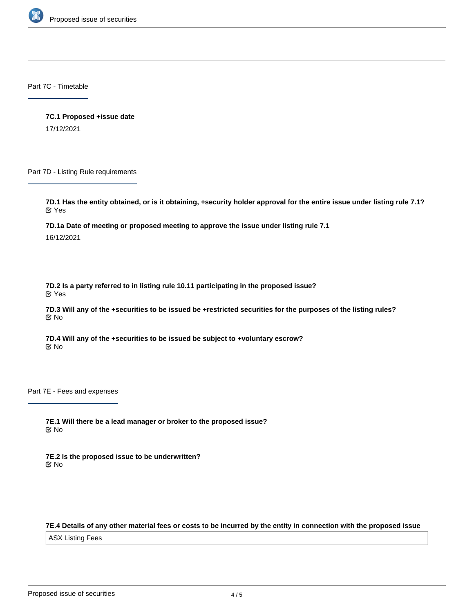

Part 7C - Timetable

**7C.1 Proposed +issue date** 17/12/2021

Part 7D - Listing Rule requirements

**7D.1 Has the entity obtained, or is it obtaining, +security holder approval for the entire issue under listing rule 7.1?** Yes

**7D.1a Date of meeting or proposed meeting to approve the issue under listing rule 7.1**

16/12/2021

**7D.2 Is a party referred to in listing rule 10.11 participating in the proposed issue?** Yes

**7D.3 Will any of the +securities to be issued be +restricted securities for the purposes of the listing rules?** No

**7D.4 Will any of the +securities to be issued be subject to +voluntary escrow?** No

Part 7E - Fees and expenses

**7E.1 Will there be a lead manager or broker to the proposed issue?** No

**7E.2 Is the proposed issue to be underwritten?** No

# **7E.4 Details of any other material fees or costs to be incurred by the entity in connection with the proposed issue**

ASX Listing Fees